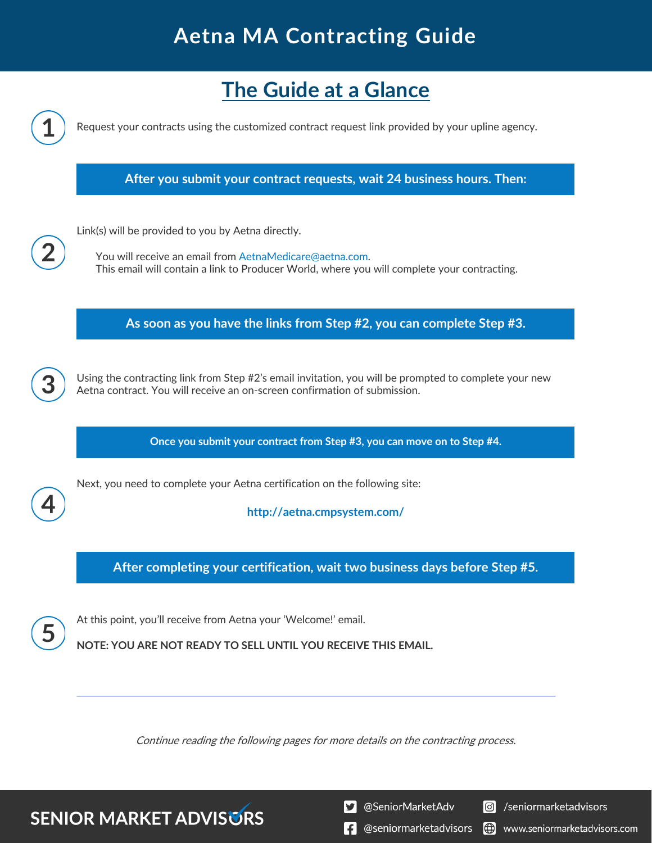

Continue reading the following pages for more details on the contracting process.

**SENIOR MARKET ADVISURS** 

S @SeniorMarketAdv

seniormarketadvisors

**f** @seniormarketadvisors www.seniormarketadvisors.com I⊕I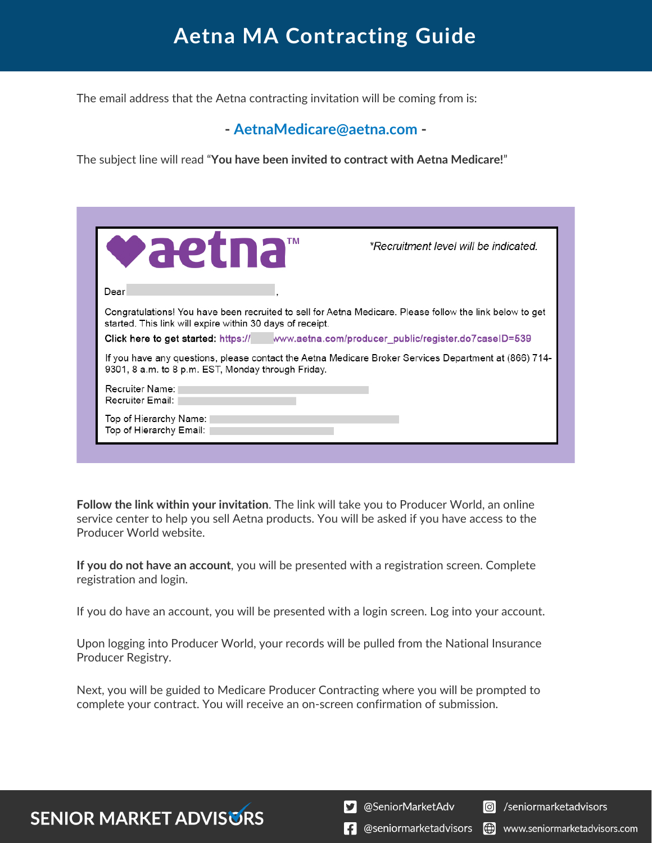The email address that the Aetna contracting invitation will be coming from is:

**- AetnaMedicare@aetna.com -**

The subject line will read "**You have been invited to contract with Aetna Medicare!**"

| vaetna                                                                                                                                                                | *Recruitment level will be indicated.                                                                 |
|-----------------------------------------------------------------------------------------------------------------------------------------------------------------------|-------------------------------------------------------------------------------------------------------|
| Dear                                                                                                                                                                  |                                                                                                       |
| Congratulations! You have been recruited to sell for Aetna Medicare. Please follow the link below to get<br>started. This link will expire within 30 days of receipt. |                                                                                                       |
| Click here to get started: https:// www.aetna.com/producer_public/register.do7caseID=539                                                                              |                                                                                                       |
| 9301, 8 a.m. to 8 p.m. EST, Monday through Friday.                                                                                                                    | If you have any questions, please contact the Aetna Medicare Broker Services Department at (866) 714- |
| Recruiter Name:<br>Recruiter Email:                                                                                                                                   |                                                                                                       |
| Top of Hierarchy Name:<br>Top of Hierarchy Email:                                                                                                                     |                                                                                                       |

**Follow the link within your invitation**. The link will take you to Producer World, an online service center to help you sell Aetna products. You will be asked if you have access to the Producer World website.

**If you do not have an account**, you will be presented with a registration screen. Complete registration and login.

If you do have an account, you will be presented with a login screen. Log into your account.

Upon logging into Producer World, your records will be pulled from the National Insurance Producer Registry.

Next, you will be guided to Medicare Producer Contracting where you will be prompted to complete your contract. You will receive an on-screen confirmation of submission.

### **SENIOR MARKET ADVISURS**

S @SeniorMarketAdv

**c** /seniormarketadvisors

 $\left| \cdot \right|$  @seniormarketadvisors (.) www.seniormarketadvisors.com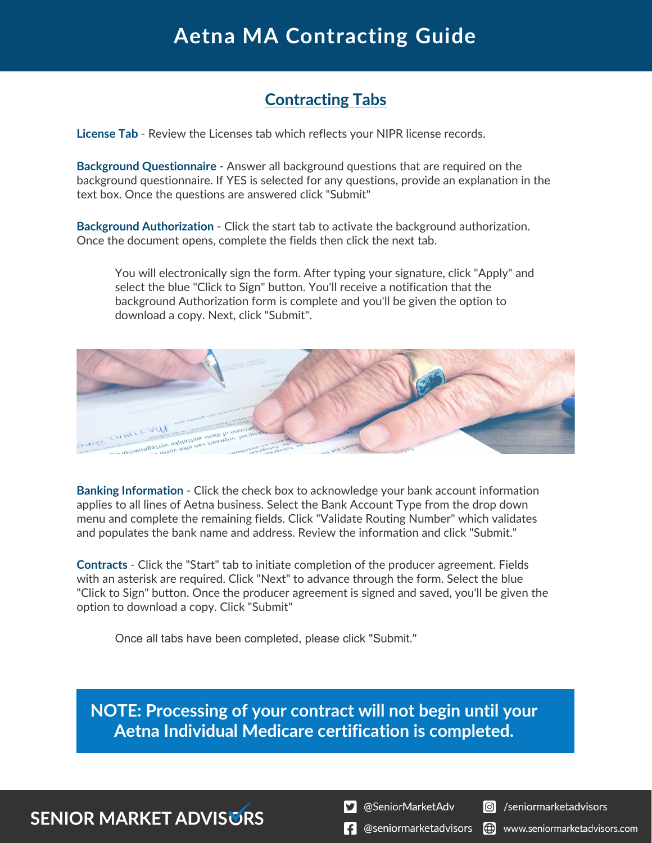#### **Contracting Tabs**

**License Tab** - Review the Licenses tab which reflects your NIPR license records.

**Background Questionnaire** - Answer all background questions that are required on the background questionnaire. If YES is selected for any questions, provide an explanation in the text box. Once the questions are answered click "Submit"

**Background Authorization** - Click the start tab to activate the background authorization. Once the document opens, complete the fields then click the next tab.

You will electronically sign the form. After typing your signature, click "Apply" and select the blue "Click to Sign" button. You'll receive a notification that the background Authorization form is complete and you'll be given the option to download a copy. Next, click "Submit".



**Banking Information** - Click the check box to acknowledge your bank account information applies to all lines of Aetna business. Select the Bank Account Type from the drop down menu and complete the remaining fields. Click "Validate Routing Number" which validates and populates the bank name and address. Review the information and click "Submit."

**Contracts** - Click the "Start" tab to initiate completion of the producer agreement. Fields with an asterisk are required. Click "Next" to advance through the form. Select the blue "Click to Sign" button. Once the producer agreement is signed and saved, you'll be given the option to download a copy. Click "Submit"

Once all tabs have been completed, please click "Submit."

**NOTE: Processing of your contract will not begin until your Aetna Individual Medicare certification is completed.**

### **SENIOR MARKET ADVISURS**

S @SeniorMarketAdv

C /seniormarketadvisors

 $\left| \cdot \right|$  @seniormarketadvisors (.) www.seniormarketadvisors.com